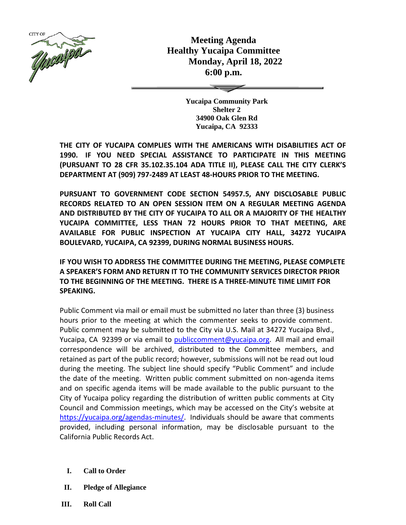

**Meeting Agenda Healthy Yucaipa Committee Monday, April 18, 2022 6:00 p.m.**

> **Yucaipa Community Park Shelter 2 34900 Oak Glen Rd Yucaipa, CA 92333**

**THE CITY OF YUCAIPA COMPLIES WITH THE AMERICANS WITH DISABILITIES ACT OF 1990. IF YOU NEED SPECIAL ASSISTANCE TO PARTICIPATE IN THIS MEETING (PURSUANT TO 28 CFR 35.102.35.104 ADA TITLE II), PLEASE CALL THE CITY CLERK'S DEPARTMENT AT (909) 797-2489 AT LEAST 48-HOURS PRIOR TO THE MEETING.**

**PURSUANT TO GOVERNMENT CODE SECTION 54957.5, ANY DISCLOSABLE PUBLIC RECORDS RELATED TO AN OPEN SESSION ITEM ON A REGULAR MEETING AGENDA AND DISTRIBUTED BY THE CITY OF YUCAIPA TO ALL OR A MAJORITY OF THE HEALTHY YUCAIPA COMMITTEE, LESS THAN 72 HOURS PRIOR TO THAT MEETING, ARE AVAILABLE FOR PUBLIC INSPECTION AT YUCAIPA CITY HALL, 34272 YUCAIPA BOULEVARD, YUCAIPA, CA 92399, DURING NORMAL BUSINESS HOURS.**

**IF YOU WISH TO ADDRESS THE COMMITTEE DURING THE MEETING, PLEASE COMPLETE A SPEAKER'S FORM AND RETURN IT TO THE COMMUNITY SERVICES DIRECTOR PRIOR TO THE BEGINNING OF THE MEETING. THERE IS A THREE-MINUTE TIME LIMIT FOR SPEAKING.**

Public Comment via mail or email must be submitted no later than three (3) business hours prior to the meeting at which the commenter seeks to provide comment. Public comment may be submitted to the City via U.S. Mail at 34272 Yucaipa Blvd., Yucaipa, CA 92399 or via email to [publiccomment@yucaipa.org.](mailto:publiccomment@yucaipa.org) All mail and email correspondence will be archived, distributed to the Committee members, and retained as part of the public record; however, submissions will not be read out loud during the meeting. The subject line should specify "Public Comment" and include the date of the meeting. Written public comment submitted on non-agenda items and on specific agenda items will be made available to the public pursuant to the City of Yucaipa policy regarding the distribution of written public comments at City Council and Commission meetings, which may be accessed on the City's website at [https://yucaipa.org/agendas-minutes/.](https://linkprotect.cudasvc.com/url?a=https%3a%2f%2fyucaipa.org%2fagendas-minutes%2f&c=E,1,8iu_aLaCQsOmYjnWdhNeQgU9-XVoB5a0CzOs_nrmw5nAY-k_y7XZa3JAnXx2dduIQhERc5pzGH0uA9TG0OvmT6S6_YXFTmLh8Gy4-DGG9zUALHtuXEtWj2x5&typo=1) Individuals should be aware that comments provided, including personal information, may be disclosable pursuant to the California Public Records Act.

- **I. Call to Order**
- **II. Pledge of Allegiance**
- **III. Roll Call**